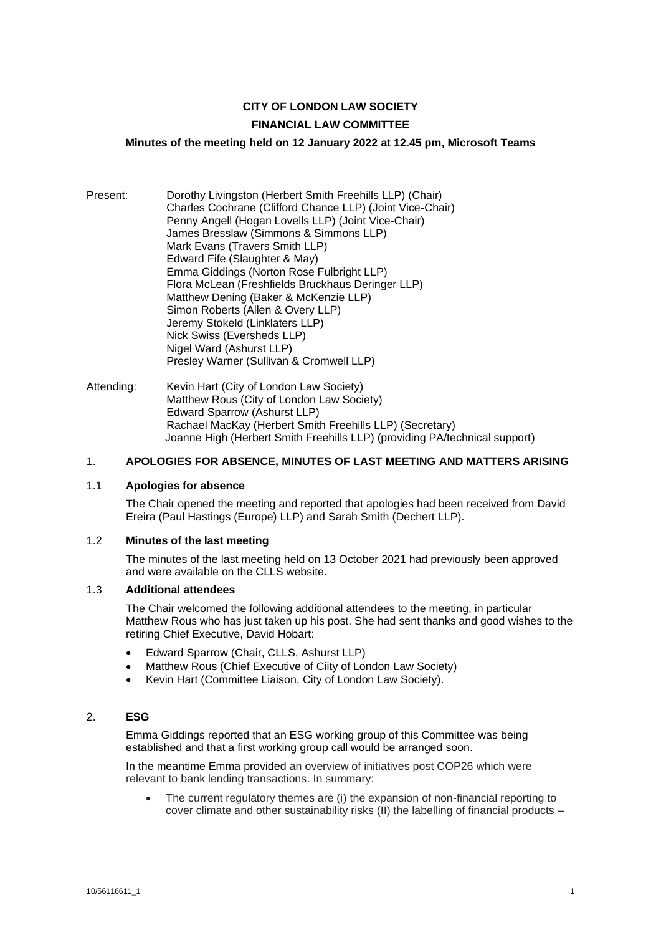## **CITY OF LONDON LAW SOCIETY FINANCIAL LAW COMMITTEE**

# **Minutes of the meeting held on 12 January 2022 at 12.45 pm, Microsoft Teams**

- Present: Dorothy Livingston (Herbert Smith Freehills LLP) (Chair) Charles Cochrane (Clifford Chance LLP) (Joint Vice-Chair) Penny Angell (Hogan Lovells LLP) (Joint Vice-Chair) James Bresslaw (Simmons & Simmons LLP) Mark Evans (Travers Smith LLP) Edward Fife (Slaughter & May) Emma Giddings (Norton Rose Fulbright LLP) Flora McLean (Freshfields Bruckhaus Deringer LLP) Matthew Dening (Baker & McKenzie LLP) Simon Roberts (Allen & Overy LLP) Jeremy Stokeld (Linklaters LLP) Nick Swiss (Eversheds LLP) Nigel Ward (Ashurst LLP) Presley Warner (Sullivan & Cromwell LLP)
- Attending: Kevin Hart (City of London Law Society) Matthew Rous (City of London Law Society) Edward Sparrow (Ashurst LLP) Rachael MacKay (Herbert Smith Freehills LLP) (Secretary) Joanne High (Herbert Smith Freehills LLP) (providing PA/technical support)

## 1. **APOLOGIES FOR ABSENCE, MINUTES OF LAST MEETING AND MATTERS ARISING**

#### 1.1 **Apologies for absence**

The Chair opened the meeting and reported that apologies had been received from David Ereira (Paul Hastings (Europe) LLP) and Sarah Smith (Dechert LLP).

## 1.2 **Minutes of the last meeting**

The minutes of the last meeting held on 13 October 2021 had previously been approved and were available on the CLLS website.

#### 1.3 **Additional attendees**

The Chair welcomed the following additional attendees to the meeting, in particular Matthew Rous who has just taken up his post. She had sent thanks and good wishes to the retiring Chief Executive, David Hobart:

- Edward Sparrow (Chair, CLLS, Ashurst LLP)
- Matthew Rous (Chief Executive of Ciity of London Law Society)
- Kevin Hart (Committee Liaison, City of London Law Society).

## 2. **ESG**

Emma Giddings reported that an ESG working group of this Committee was being established and that a first working group call would be arranged soon.

In the meantime Emma provided an overview of initiatives post COP26 which were relevant to bank lending transactions. In summary:

• The current regulatory themes are (i) the expansion of non-financial reporting to cover climate and other sustainability risks (II) the labelling of financial products –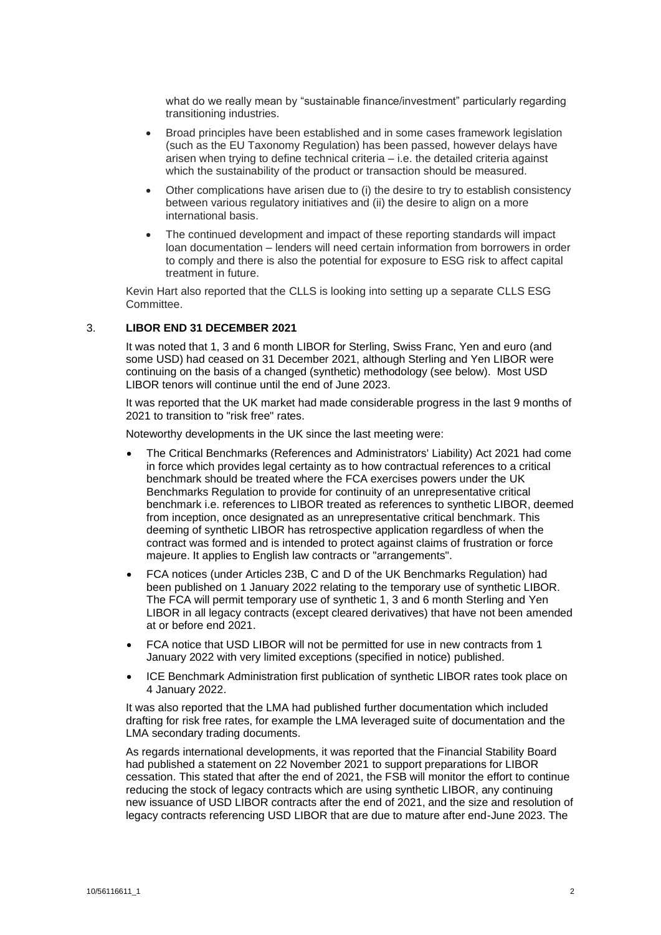what do we really mean by "sustainable finance/investment" particularly regarding transitioning industries.

- Broad principles have been established and in some cases framework legislation (such as the EU Taxonomy Regulation) has been passed, however delays have arisen when trying to define technical criteria – i.e. the detailed criteria against which the sustainability of the product or transaction should be measured.
- Other complications have arisen due to (i) the desire to try to establish consistency between various regulatory initiatives and (ii) the desire to align on a more international basis.
- The continued development and impact of these reporting standards will impact loan documentation – lenders will need certain information from borrowers in order to comply and there is also the potential for exposure to ESG risk to affect capital treatment in future.

Kevin Hart also reported that the CLLS is looking into setting up a separate CLLS ESG Committee.

## 3. **LIBOR END 31 DECEMBER 2021**

It was noted that 1, 3 and 6 month LIBOR for Sterling, Swiss Franc, Yen and euro (and some USD) had ceased on 31 December 2021, although Sterling and Yen LIBOR were continuing on the basis of a changed (synthetic) methodology (see below). Most USD LIBOR tenors will continue until the end of June 2023.

It was reported that the UK market had made considerable progress in the last 9 months of 2021 to transition to "risk free" rates.

Noteworthy developments in the UK since the last meeting were:

- The Critical Benchmarks (References and Administrators' Liability) Act 2021 had come in force which provides legal certainty as to how contractual references to a critical benchmark should be treated where the FCA exercises powers under the UK Benchmarks Regulation to provide for continuity of an unrepresentative critical benchmark i.e. references to LIBOR treated as references to synthetic LIBOR, deemed from inception, once designated as an unrepresentative critical benchmark. This deeming of synthetic LIBOR has retrospective application regardless of when the contract was formed and is intended to protect against claims of frustration or force majeure. It applies to English law contracts or "arrangements".
- FCA notices (under Articles 23B, C and D of the UK Benchmarks Regulation) had been published on 1 January 2022 relating to the temporary use of synthetic LIBOR. The FCA will permit temporary use of synthetic 1, 3 and 6 month Sterling and Yen LIBOR in all legacy contracts (except cleared derivatives) that have not been amended at or before end 2021.
- FCA notice that USD LIBOR will not be permitted for use in new contracts from 1 January 2022 with very limited exceptions (specified in notice) published.
- ICE Benchmark Administration first publication of synthetic LIBOR rates took place on 4 January 2022.

It was also reported that the LMA had published further documentation which included drafting for risk free rates, for example the LMA leveraged suite of documentation and the LMA secondary trading documents.

As regards international developments, it was reported that the Financial Stability Board had published a statement on 22 November 2021 to support preparations for LIBOR cessation. This stated that after the end of 2021, the FSB will monitor the effort to continue reducing the stock of legacy contracts which are using synthetic LIBOR, any continuing new issuance of USD LIBOR contracts after the end of 2021, and the size and resolution of legacy contracts referencing USD LIBOR that are due to mature after end-June 2023. The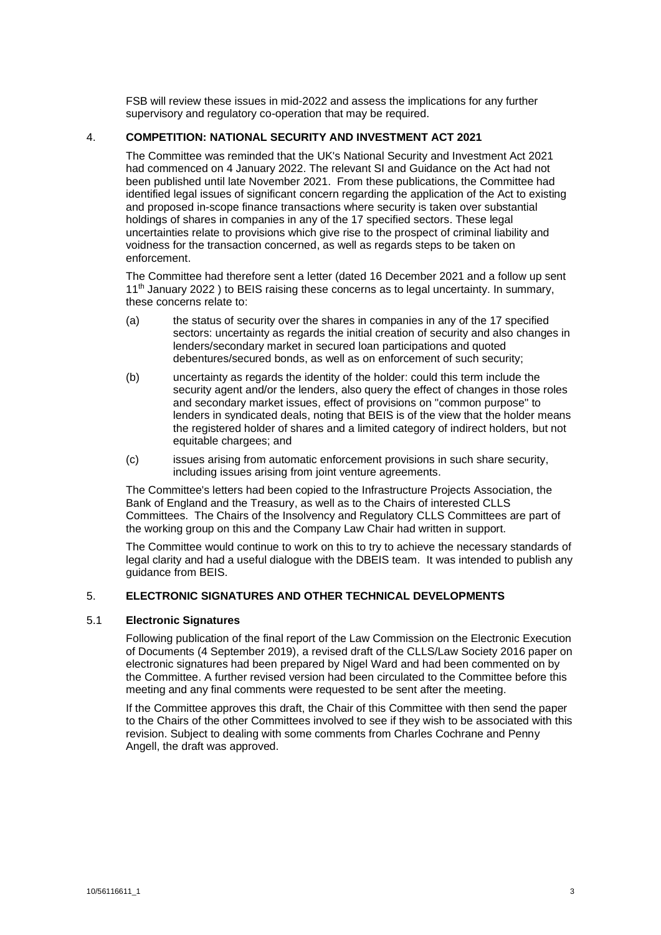FSB will review these issues in mid-2022 and assess the implications for any further supervisory and regulatory co-operation that may be required.

## 4. **COMPETITION: NATIONAL SECURITY AND INVESTMENT ACT 2021**

The Committee was reminded that the UK's National Security and Investment Act 2021 had commenced on 4 January 2022. The relevant SI and Guidance on the Act had not been published until late November 2021. From these publications, the Committee had identified legal issues of significant concern regarding the application of the Act to existing and proposed in-scope finance transactions where security is taken over substantial holdings of shares in companies in any of the 17 specified sectors. These legal uncertainties relate to provisions which give rise to the prospect of criminal liability and voidness for the transaction concerned, as well as regards steps to be taken on enforcement.

The Committee had therefore sent a letter (dated 16 December 2021 and a follow up sent  $11<sup>th</sup>$  January 2022 ) to BEIS raising these concerns as to legal uncertainty. In summary, these concerns relate to:

- (a) the status of security over the shares in companies in any of the 17 specified sectors: uncertainty as regards the initial creation of security and also changes in lenders/secondary market in secured loan participations and quoted debentures/secured bonds, as well as on enforcement of such security;
- (b) uncertainty as regards the identity of the holder: could this term include the security agent and/or the lenders, also query the effect of changes in those roles and secondary market issues, effect of provisions on "common purpose" to lenders in syndicated deals, noting that BEIS is of the view that the holder means the registered holder of shares and a limited category of indirect holders, but not equitable chargees; and
- (c) issues arising from automatic enforcement provisions in such share security, including issues arising from joint venture agreements.

The Committee's letters had been copied to the Infrastructure Projects Association, the Bank of England and the Treasury, as well as to the Chairs of interested CLLS Committees. The Chairs of the Insolvency and Regulatory CLLS Committees are part of the working group on this and the Company Law Chair had written in support.

The Committee would continue to work on this to try to achieve the necessary standards of legal clarity and had a useful dialogue with the DBEIS team. It was intended to publish any guidance from BEIS.

## 5. **ELECTRONIC SIGNATURES AND OTHER TECHNICAL DEVELOPMENTS**

## 5.1 **Electronic Signatures**

Following publication of the final report of the Law Commission on the Electronic Execution of Documents (4 September 2019), a revised draft of the CLLS/Law Society 2016 paper on electronic signatures had been prepared by Nigel Ward and had been commented on by the Committee. A further revised version had been circulated to the Committee before this meeting and any final comments were requested to be sent after the meeting.

If the Committee approves this draft, the Chair of this Committee with then send the paper to the Chairs of the other Committees involved to see if they wish to be associated with this revision. Subject to dealing with some comments from Charles Cochrane and Penny Angell, the draft was approved.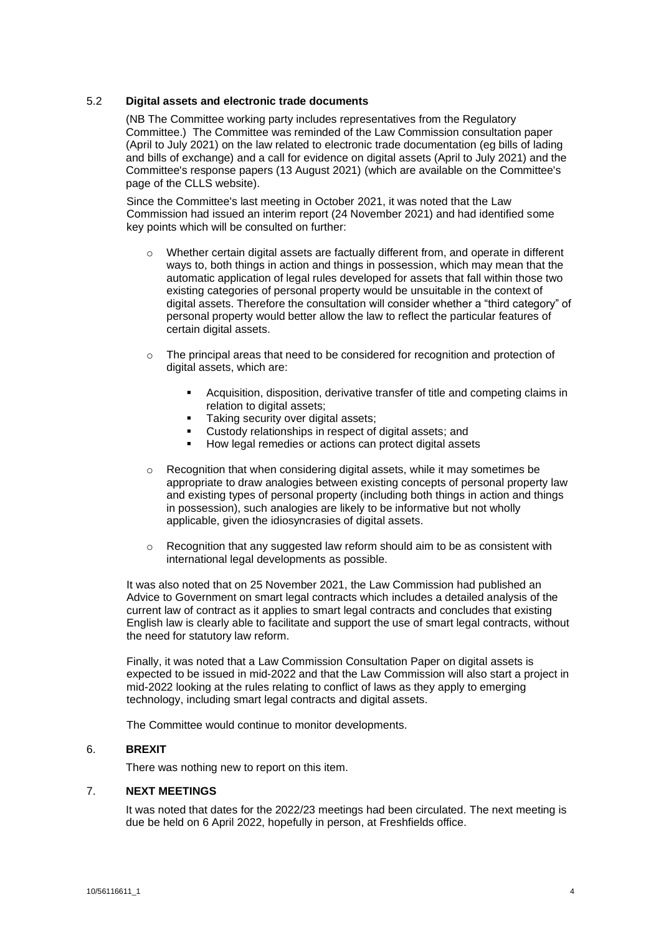## 5.2 **Digital assets and electronic trade documents**

(NB The Committee working party includes representatives from the Regulatory Committee.) The Committee was reminded of the Law Commission consultation paper (April to July 2021) on the law related to electronic trade documentation (eg bills of lading and bills of exchange) and a call for evidence on digital assets (April to July 2021) and the Committee's response papers (13 August 2021) (which are available on the Committee's page of the CLLS website).

Since the Committee's last meeting in October 2021, it was noted that the Law Commission had issued an interim report (24 November 2021) and had identified some key points which will be consulted on further:

- $\circ$  Whether certain digital assets are factually different from, and operate in different ways to, both things in action and things in possession, which may mean that the automatic application of legal rules developed for assets that fall within those two existing categories of personal property would be unsuitable in the context of digital assets. Therefore the consultation will consider whether a "third category" of personal property would better allow the law to reflect the particular features of certain digital assets.
- $\circ$  The principal areas that need to be considered for recognition and protection of digital assets, which are:
	- Acquisition, disposition, derivative transfer of title and competing claims in relation to digital assets:
	- Taking security over digital assets:
	- Custody relationships in respect of digital assets; and<br>■ How legal remedies or actions can protect digital asset
	- How legal remedies or actions can protect digital assets
- $\circ$  Recognition that when considering digital assets, while it may sometimes be appropriate to draw analogies between existing concepts of personal property law and existing types of personal property (including both things in action and things in possession), such analogies are likely to be informative but not wholly applicable, given the idiosyncrasies of digital assets.
- $\circ$  Recognition that any suggested law reform should aim to be as consistent with international legal developments as possible.

It was also noted that on 25 November 2021, the Law Commission had published an Advice to Government on smart legal contracts which includes a detailed analysis of the current law of contract as it applies to smart legal contracts and concludes that existing English law is clearly able to facilitate and support the use of smart legal contracts, without the need for statutory law reform.

Finally, it was noted that a Law Commission Consultation Paper on digital assets is expected to be issued in mid-2022 and that the Law Commission will also start a project in mid-2022 looking at the rules relating to conflict of laws as they apply to emerging technology, including smart legal contracts and digital assets.

The Committee would continue to monitor developments.

## 6. **BREXIT**

There was nothing new to report on this item.

## 7. **NEXT MEETINGS**

It was noted that dates for the 2022/23 meetings had been circulated. The next meeting is due be held on 6 April 2022, hopefully in person, at Freshfields office.